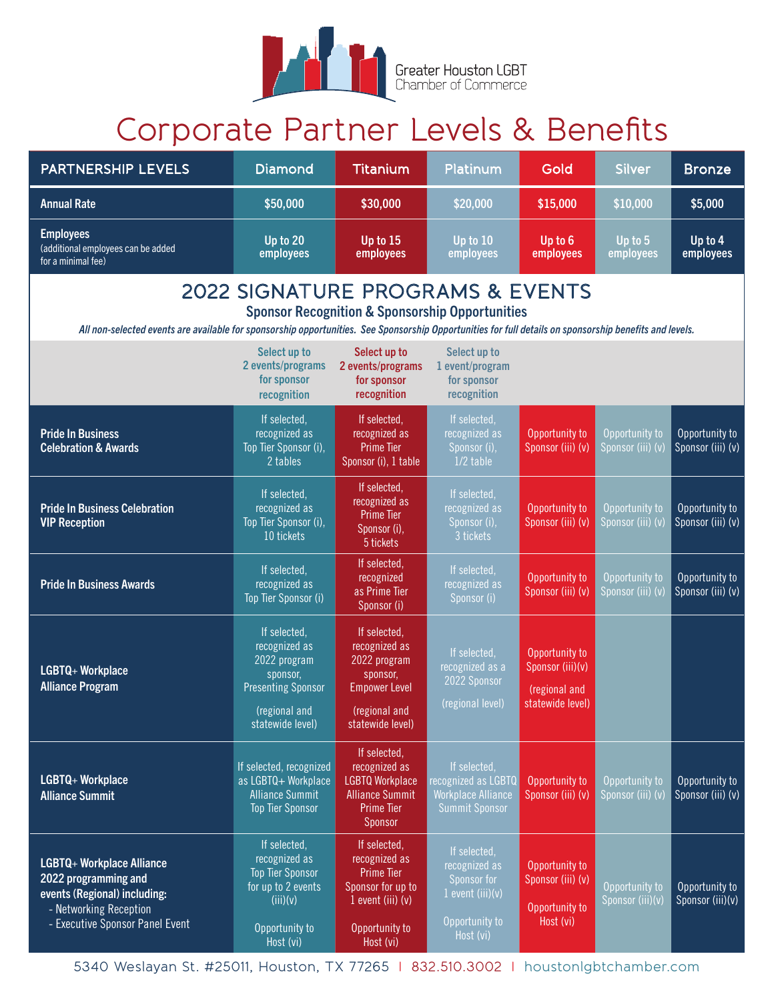

## Corporate Partner Levels & Benefits

| <b>PARTNERSHIP LEVELS</b>                                                                                                                                                                                                                                 | <b>Diamond</b>                                                                                                              | <b>Titanium</b>                                                                                                               | Platinum                                                                                          | Gold                                                                    | <b>Silver</b>                       | <b>Bronze</b>                       |  |  |
|-----------------------------------------------------------------------------------------------------------------------------------------------------------------------------------------------------------------------------------------------------------|-----------------------------------------------------------------------------------------------------------------------------|-------------------------------------------------------------------------------------------------------------------------------|---------------------------------------------------------------------------------------------------|-------------------------------------------------------------------------|-------------------------------------|-------------------------------------|--|--|
| <b>Annual Rate</b>                                                                                                                                                                                                                                        | \$50,000                                                                                                                    | \$30,000                                                                                                                      | \$20,000                                                                                          | \$15,000                                                                | \$10,000                            | \$5,000                             |  |  |
| <b>Employees</b><br>(additional employees can be added<br>for a minimal fee)                                                                                                                                                                              | Up to 20<br>employees                                                                                                       | Up to 15<br>employees                                                                                                         | Up to 10<br>employees                                                                             | Up to 6<br>employees                                                    | Up to 5<br>employees                | Up to $4$<br>employees              |  |  |
| 2022 SIGNATURE PROGRAMS & EVENTS<br><b>Sponsor Recognition &amp; Sponsorship Opportunities</b><br>All non-selected events are available for sponsorship opportunities. See Sponsorship Opportunities for full details on sponsorship benefits and levels. |                                                                                                                             |                                                                                                                               |                                                                                                   |                                                                         |                                     |                                     |  |  |
|                                                                                                                                                                                                                                                           | Select up to<br>2 events/programs<br>for sponsor<br>recognition                                                             | Select up to<br>2 events/programs<br>for sponsor<br>recognition                                                               | Select up to<br>1 event/program<br>for sponsor<br>recognition                                     |                                                                         |                                     |                                     |  |  |
| <b>Pride In Business</b><br><b>Celebration &amp; Awards</b>                                                                                                                                                                                               | If selected,<br>recognized as<br>Top Tier Sponsor (i),<br>2 tables                                                          | If selected,<br>recognized as<br><b>Prime Tier</b><br>Sponsor (i), 1 table                                                    | If selected,<br>recognized as<br>Sponsor (i),<br>$1/2$ table                                      | Opportunity to<br>Sponsor (iii) (v)                                     | Opportunity to<br>Sponsor (iii) (v) | Opportunity to<br>Sponsor (iii) (v) |  |  |
| <b>Pride In Business Celebration</b><br><b>VIP Reception</b>                                                                                                                                                                                              | If selected,<br>recognized as<br>Top Tier Sponsor (i),<br>10 tickets                                                        | If selected,<br>recognized as<br><b>Prime Tier</b><br>Sponsor (i),<br>5 tickets                                               | If selected,<br>recognized as<br>Sponsor (i),<br>3 tickets                                        | Opportunity to<br>Sponsor (iii) (v)                                     | Opportunity to<br>Sponsor (iii) (v) | Opportunity to<br>Sponsor (iii) (v) |  |  |
| <b>Pride In Business Awards</b>                                                                                                                                                                                                                           | If selected,<br>recognized as<br>Top Tier Sponsor (i)                                                                       | If selected,<br>recognized<br>as Prime Tier<br>Sponsor <sub>(i)</sub>                                                         | If selected,<br>recognized as<br>Sponsor (i)                                                      | Opportunity to<br>Sponsor (iii) (v)                                     | Opportunity to<br>Sponsor (iii) (v) | Opportunity to<br>Sponsor (iii) (v) |  |  |
| LGBTQ+ Workplace<br><b>Alliance Program</b>                                                                                                                                                                                                               | If selected,<br>recognized as<br>2022 program<br>sponsor,<br><b>Presenting Sponsor</b><br>(regional and<br>statewide level) | If selected,<br>recognized as<br>2022 program<br>sponsor,<br><b>Empower Level</b><br>(regional and<br>statewide level)        | If selected,<br>recognized as a<br>2022 Sponsor<br>(regional level)                               | Opportunity to<br>Sponsor (iii)(v)<br>(regional and<br>statewide level) |                                     |                                     |  |  |
| LGBTQ+ Workplace<br><b>Alliance Summit</b>                                                                                                                                                                                                                | If selected, recognized<br>as LGBTQ+ Workplace<br><b>Alliance Summit</b><br><b>Top Tier Sponsor</b>                         | If selected,<br>recognized as<br><b>LGBTQ Workplace</b><br><b>Alliance Summit</b><br><b>Prime Tier</b><br>Sponsor             | If selected,<br>recognized as LGBTQ<br><b>Workplace Alliance</b><br><b>Summit Sponsor</b>         | Opportunity to<br>Sponsor (iii) (v)                                     | Opportunity to<br>Sponsor (iii) (v) | Opportunity to<br>Sponsor (iii) (v) |  |  |
| LGBTQ+ Workplace Alliance<br>2022 programming and<br>events (Regional) including:<br>- Networking Reception<br>- Executive Sponsor Panel Event                                                                                                            | If selected,<br>recognized as<br><b>Top Tier Sponsor</b><br>for up to 2 events<br>(iii)(v)<br>Opportunity to<br>Host (vi)   | If selected,<br>recognized as<br><b>Prime Tier</b><br>Sponsor for up to<br>$1$ event (iii) (v)<br>Opportunity to<br>Host (vi) | If selected,<br>recognized as<br>Sponsor for<br>$1$ event (iii)(v)<br>Opportunity to<br>Host (vi) | Opportunity to<br>Sponsor (iii) (v)<br>Opportunity to<br>Host (vi)      | Opportunity to<br>Sponsor (iii)(v)  | Opportunity to<br>Sponsor (iii)(v)  |  |  |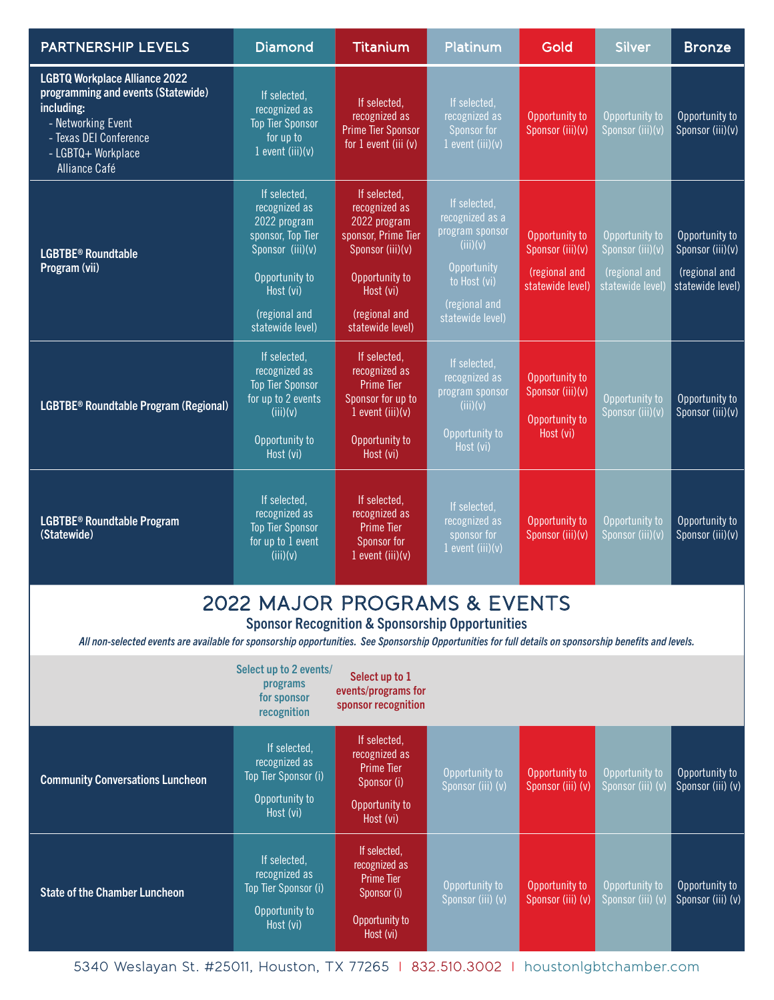| <b>PARTNERSHIP LEVELS</b>                                                                                                                                                       | <b>Diamond</b>                                                                                                                                             | <b>Titanium</b>                                                                                                                                              | Platinum                                                                                                                           | Gold                                                                    | <b>Silver</b>                                                           | <b>Bronze</b>                                                           |
|---------------------------------------------------------------------------------------------------------------------------------------------------------------------------------|------------------------------------------------------------------------------------------------------------------------------------------------------------|--------------------------------------------------------------------------------------------------------------------------------------------------------------|------------------------------------------------------------------------------------------------------------------------------------|-------------------------------------------------------------------------|-------------------------------------------------------------------------|-------------------------------------------------------------------------|
| <b>LGBTQ Workplace Alliance 2022</b><br>programming and events (Statewide)<br>including:<br>- Networking Event<br>- Texas DEI Conference<br>- LGBTQ+ Workplace<br>Alliance Café | If selected.<br>recognized as<br><b>Top Tier Sponsor</b><br>for up to<br>$1$ event (iii)(v)                                                                | If selected,<br>recognized as<br><b>Prime Tier Sponsor</b><br>for 1 event (iii (v)                                                                           | If selected,<br>recognized as<br>Sponsor for<br>$1$ event (iii)(v)                                                                 | Opportunity to<br>Sponsor (iii)(v)                                      | Opportunity to<br>Sponsor (iii)(v)                                      | Opportunity to<br>Sponsor (iii)(v)                                      |
| <b>LGBTBE® Roundtable</b><br>Program (vii)                                                                                                                                      | If selected.<br>recognized as<br>2022 program<br>sponsor, Top Tier<br>Sponsor (iii)(v)<br>Opportunity to<br>Host (vi)<br>(regional and<br>statewide level) | If selected,<br>recognized as<br>2022 program<br>sponsor, Prime Tier<br>Sponsor (iii)(v)<br>Opportunity to<br>Host (vi)<br>(regional and<br>statewide level) | If selected,<br>recognized as a<br>program sponsor<br>(iii)(v)<br>Opportunity<br>to Host (vi)<br>(regional and<br>statewide level) | Opportunity to<br>Sponsor (iii)(v)<br>(regional and<br>statewide level) | Opportunity to<br>Sponsor (iii)(v)<br>(regional and<br>statewide level) | Opportunity to<br>Sponsor (iii)(v)<br>(regional and<br>statewide level) |
| LGBTBE <sup>®</sup> Roundtable Program (Regional)                                                                                                                               | If selected,<br>recognized as<br><b>Top Tier Sponsor</b><br>for up to 2 events<br>(iii)(v)<br>Opportunity to<br>Host (vi)                                  | If selected,<br>recognized as<br><b>Prime Tier</b><br>Sponsor for up to<br>1 event $(iii)(v)$<br>Opportunity to<br>Host (vi)                                 | If selected,<br>recognized as<br>program sponsor<br>(iii)(v)<br>Opportunity to<br>Host (vi)                                        | Opportunity to<br>Sponsor (iii)(v)<br>Opportunity to<br>Host (vi)       | Opportunity to<br>Sponsor (iii)(v)                                      | Opportunity to<br>Sponsor (iii)(v)                                      |
| <b>LGBTBE<sup>®</sup> Roundtable Program</b><br>(Statewide)                                                                                                                     | If selected,<br>recognized as<br><b>Top Tier Sponsor</b><br>for up to 1 event<br>(iii)(v)                                                                  | If selected,<br>recognized as<br>Prime Tier<br>Sponsor for<br>1 event $(iii)(v)$                                                                             | If selected,<br>recognized as<br>sponsor for<br>1 event $(iii)(v)$                                                                 | Opportunity to<br>Sponsor (iii)(v)                                      | Opportunity to<br>Sponsor (iii)(v)                                      | Opportunity to<br>Sponsor (iii)(v)                                      |
| All non-selected events are available for sponsorship opportunities. See Sponsorship Opportunities for full details on sponsorship benefits and levels.                         | 2022 MAJOR PROGRAMS & EVENTS                                                                                                                               |                                                                                                                                                              | <b>Sponsor Recognition &amp; Sponsorship Opportunities</b>                                                                         |                                                                         |                                                                         |                                                                         |
|                                                                                                                                                                                 | Select up to 2 events/<br>programs<br>for sponsor<br>recognition                                                                                           | Select up to 1<br>events/programs for<br>sponsor recognition                                                                                                 |                                                                                                                                    |                                                                         |                                                                         |                                                                         |
| <b>Community Conversations Luncheon</b>                                                                                                                                         | If selected,<br>recognized as<br>Top Tier Sponsor (i)<br>Opportunity to<br>Host (vi)                                                                       | If selected,<br>recognized as<br><b>Prime Tier</b><br>Sponsor (i)<br>Opportunity to<br>Host (vi)                                                             | Opportunity to<br>Sponsor (iii) (v)                                                                                                | Opportunity to<br>Sponsor (iii) (v)                                     | Opportunity to<br>Sponsor (iii) (v)                                     | Opportunity to<br>Sponsor (iii) (v)                                     |
| <b>State of the Chamber Luncheon</b>                                                                                                                                            | If selected,<br>recognized as<br>Top Tier Sponsor (i)<br>Opportunity to<br>Host (vi)                                                                       | If selected,<br>recognized as<br><b>Prime Tier</b><br>Sponsor (i)<br>Opportunity to<br>Host (vi)                                                             | Opportunity to<br>Sponsor (iii) (v)                                                                                                | Opportunity to<br>Sponsor (iii) (v)                                     | Opportunity to<br>Sponsor (iii) (v)                                     | Opportunity to<br>Sponsor (iii) (v)                                     |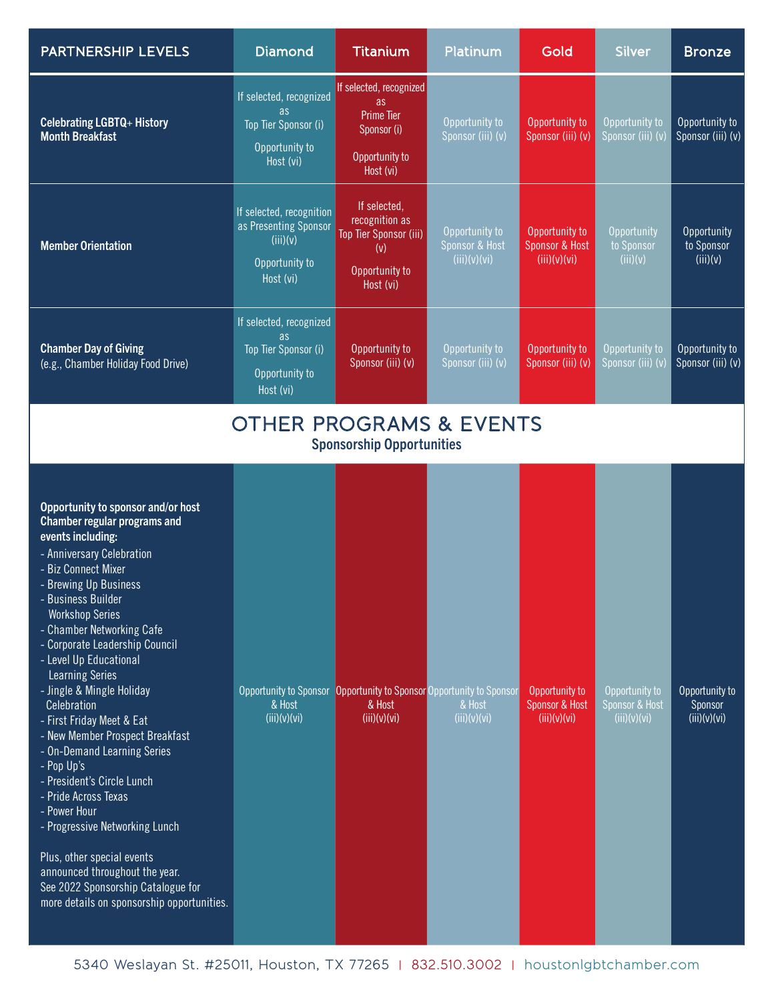| PARTNERSHIP LEVELS                                                                                                                                                                                                                                                                                                                                                                                                                                                                                                                                                                                                                                                                                                                                           | <b>Diamond</b>                                                                                 | <b>Titanium</b>                                                                                  | Platinum                                         | Gold                                             | <b>Silver</b>                                    | <b>Bronze</b>                             |  |
|--------------------------------------------------------------------------------------------------------------------------------------------------------------------------------------------------------------------------------------------------------------------------------------------------------------------------------------------------------------------------------------------------------------------------------------------------------------------------------------------------------------------------------------------------------------------------------------------------------------------------------------------------------------------------------------------------------------------------------------------------------------|------------------------------------------------------------------------------------------------|--------------------------------------------------------------------------------------------------|--------------------------------------------------|--------------------------------------------------|--------------------------------------------------|-------------------------------------------|--|
| <b>Celebrating LGBTQ+ History</b><br><b>Month Breakfast</b>                                                                                                                                                                                                                                                                                                                                                                                                                                                                                                                                                                                                                                                                                                  | If selected, recognized<br><b>as</b><br>Top Tier Sponsor (i)<br>Opportunity to<br>Host (vi)    | If selected, recognized<br>as<br><b>Prime Tier</b><br>Sponsor (i)<br>Opportunity to<br>Host (vi) | Opportunity to<br>Sponsor (iii) (v)              | Opportunity to<br>Sponsor (iii) (v)              | Opportunity to<br>Sponsor (iii) (v)              | Opportunity to<br>Sponsor (iii) (v)       |  |
| <b>Member Orientation</b>                                                                                                                                                                                                                                                                                                                                                                                                                                                                                                                                                                                                                                                                                                                                    | If selected, recognition<br>as Presenting Sponsor<br>(iii)(v)<br>Opportunity to<br>Host (vi)   | If selected,<br>recognition as<br>Top Tier Sponsor (iii)<br>(v)<br>Opportunity to<br>Host (vi)   | Opportunity to<br>Sponsor & Host<br>(iii)(v)(vi) | Opportunity to<br>Sponsor & Host<br>(iii)(v)(vi) | Opportunity<br>to Sponsor<br>(iii)(v)            | Opportunity<br>to Sponsor<br>(iii)(v)     |  |
| <b>Chamber Day of Giving</b><br>(e.g., Chamber Holiday Food Drive)                                                                                                                                                                                                                                                                                                                                                                                                                                                                                                                                                                                                                                                                                           | If selected, recognized<br>as.<br>Top Tier Sponsor (i)<br>Opportunity to<br>Host (vi)          | Opportunity to<br>Sponsor (iii) (v)                                                              | Opportunity to<br>Sponsor (iii) (v)              | Opportunity to<br>Sponsor (iii) (v)              | Opportunity to<br>Sponsor (iii) (v)              | Opportunity to<br>Sponsor (iii) (v)       |  |
| <b>OTHER PROGRAMS &amp; EVENTS</b><br><b>Sponsorship Opportunities</b>                                                                                                                                                                                                                                                                                                                                                                                                                                                                                                                                                                                                                                                                                       |                                                                                                |                                                                                                  |                                                  |                                                  |                                                  |                                           |  |
| Opportunity to sponsor and/or host<br>Chamber regular programs and<br>events including:<br>- Anniversary Celebration<br>- Biz Connect Mixer<br>- Brewing Up Business<br>- Business Builder<br><b>Workshop Series</b><br>- Chamber Networking Cafe<br>- Corporate Leadership Council<br>- Level Up Educational<br><b>Learning Series</b><br>- Jingle & Mingle Holiday<br>Celebration<br>- First Friday Meet & Eat<br>- New Member Prospect Breakfast<br>- On-Demand Learning Series<br>- Pop Up's<br>- President's Circle Lunch<br>- Pride Across Texas<br>- Power Hour<br>- Progressive Networking Lunch<br>Plus, other special events<br>announced throughout the year.<br>See 2022 Sponsorship Catalogue for<br>more details on sponsorship opportunities. | Opportunity to Sponsor Opportunity to Sponsor Opportunity to Sponsor<br>& Host<br>(iii)(v)(vi) | & Host<br>(iii)(v)(vi)                                                                           | & Host<br>(iii)(v)(vi)                           | Opportunity to<br>Sponsor & Host<br>(iii)(v)(vi) | Opportunity to<br>Sponsor & Host<br>(iii)(v)(vi) | Opportunity to<br>Sponsor<br>(iii)(v)(vi) |  |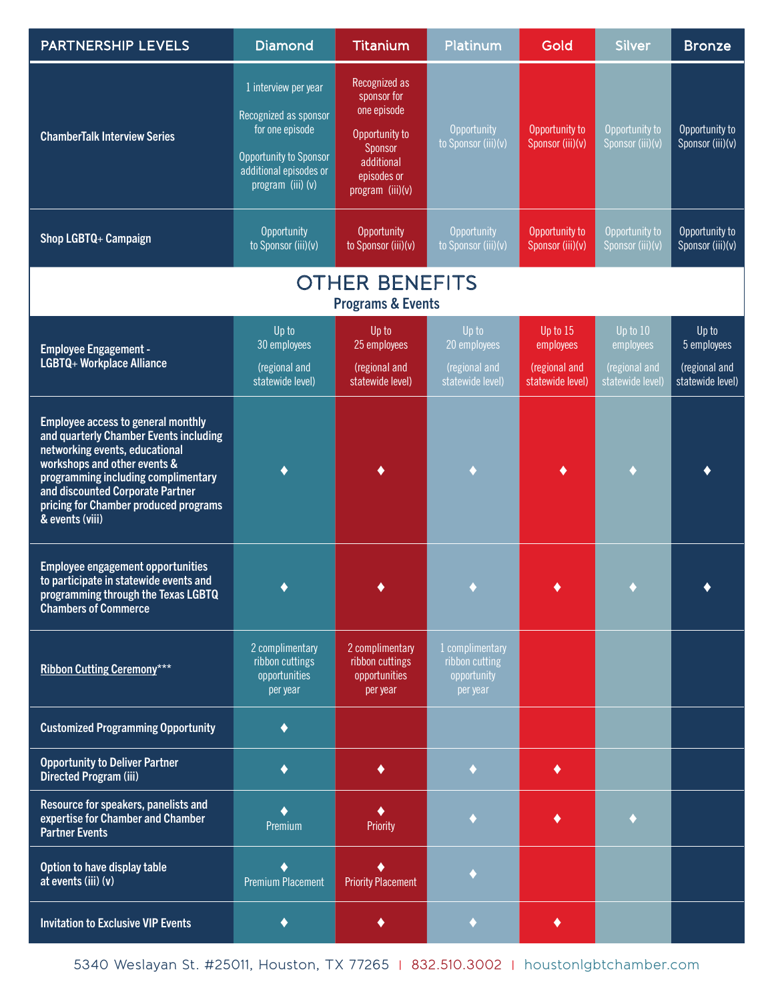| <b>PARTNERSHIP LEVELS</b>                                                                                                                                                                                                                                                             | <b>Diamond</b>                                                                                                                            | Titanium                                                                                                                  | Platinum                                                     | Gold                                                       | <b>Silver</b>                                              | <b>Bronze</b>                                             |
|---------------------------------------------------------------------------------------------------------------------------------------------------------------------------------------------------------------------------------------------------------------------------------------|-------------------------------------------------------------------------------------------------------------------------------------------|---------------------------------------------------------------------------------------------------------------------------|--------------------------------------------------------------|------------------------------------------------------------|------------------------------------------------------------|-----------------------------------------------------------|
| <b>ChamberTalk Interview Series</b>                                                                                                                                                                                                                                                   | 1 interview per year<br>Recognized as sponsor<br>for one episode<br>Opportunity to Sponsor<br>additional episodes or<br>program (iii) (v) | Recognized as<br>sponsor for<br>one episode<br>Opportunity to<br>Sponsor<br>additional<br>episodes or<br>program (iii)(v) | Opportunity<br>to Sponsor (iii)(v)                           | Opportunity to<br>Sponsor (iii)(v)                         | Opportunity to<br>Sponsor (iii)(v)                         | Opportunity to<br>Sponsor (iii)(v)                        |
| Shop LGBTQ+ Campaign                                                                                                                                                                                                                                                                  | Opportunity<br>to Sponsor (iii)(v)                                                                                                        | Opportunity<br>to Sponsor (iii)(v)                                                                                        | Opportunity<br>to Sponsor (iii)(v)                           | Opportunity to<br>Sponsor (iii)(v)                         | Opportunity to<br>Sponsor (iii)(v)                         | Opportunity to<br>Sponsor (iii)(v)                        |
|                                                                                                                                                                                                                                                                                       |                                                                                                                                           | <b>OTHER BENEFITS</b><br><b>Programs &amp; Events</b>                                                                     |                                                              |                                                            |                                                            |                                                           |
| <b>Employee Engagement -</b><br>LGBTQ+ Workplace Alliance                                                                                                                                                                                                                             | Up to<br>30 employees<br>(regional and<br>statewide level)                                                                                | Up to<br>25 employees<br>(regional and<br>statewide level)                                                                | Up to<br>20 employees<br>(regional and<br>statewide level)   | Up to 15<br>employees<br>(regional and<br>statewide level) | Up to 10<br>employees<br>(regional and<br>statewide level) | Up to<br>5 employees<br>(regional and<br>statewide level) |
| Employee access to general monthly<br>and quarterly Chamber Events including<br>networking events, educational<br>workshops and other events &<br>programming including complimentary<br>and discounted Corporate Partner<br>pricing for Chamber produced programs<br>& events (viii) | ♦                                                                                                                                         |                                                                                                                           |                                                              |                                                            |                                                            |                                                           |
| <b>Employee engagement opportunities</b><br>to participate in statewide events and<br>programming through the Texas LGBTQ<br><b>Chambers of Commerce</b>                                                                                                                              |                                                                                                                                           |                                                                                                                           |                                                              |                                                            |                                                            |                                                           |
| <b>Ribbon Cutting Ceremony***</b>                                                                                                                                                                                                                                                     | 2 complimentary<br>ribbon cuttings<br>opportunities<br>per year                                                                           | 2 complimentary<br>ribbon cuttings<br>opportunities<br>per year                                                           | 1 complimentary<br>ribbon cutting<br>opportunity<br>per year |                                                            |                                                            |                                                           |
| <b>Customized Programming Opportunity</b>                                                                                                                                                                                                                                             | $\blacklozenge$                                                                                                                           |                                                                                                                           |                                                              |                                                            |                                                            |                                                           |
| <b>Opportunity to Deliver Partner</b><br><b>Directed Program (iii)</b>                                                                                                                                                                                                                | ٠                                                                                                                                         | ٠                                                                                                                         |                                                              | ٠                                                          |                                                            |                                                           |
| Resource for speakers, panelists and<br>expertise for Chamber and Chamber<br><b>Partner Events</b>                                                                                                                                                                                    | ۰<br>Premium                                                                                                                              | Priority                                                                                                                  |                                                              |                                                            |                                                            |                                                           |
| Option to have display table<br>at events (iii) (v)                                                                                                                                                                                                                                   | <b>Premium Placement</b>                                                                                                                  | <b>Priority Placement</b>                                                                                                 |                                                              |                                                            |                                                            |                                                           |
| <b>Invitation to Exclusive VIP Events</b>                                                                                                                                                                                                                                             | ٠                                                                                                                                         | ٠                                                                                                                         | ٠                                                            | ٠                                                          |                                                            |                                                           |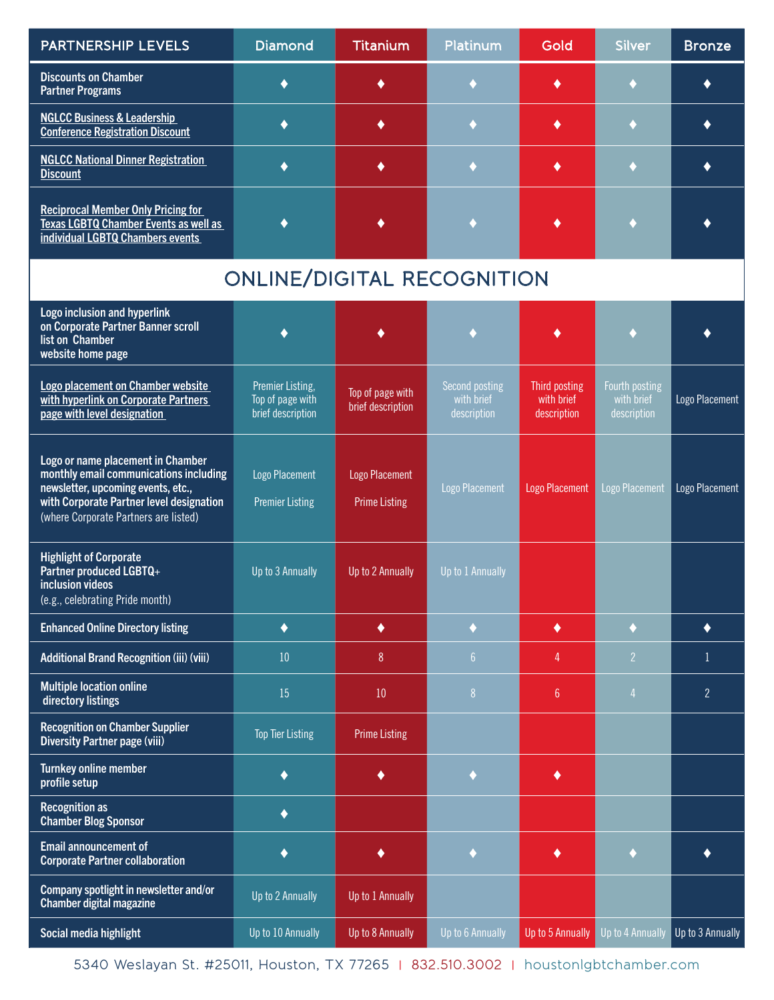| PARTNERSHIP LEVELS                                                                                                                                                                                     | <b>Diamond</b>                                            | <b>Titanium</b>                        | Platinum                                    | Gold                                       | Silver                                      | <b>Bronze</b>    |
|--------------------------------------------------------------------------------------------------------------------------------------------------------------------------------------------------------|-----------------------------------------------------------|----------------------------------------|---------------------------------------------|--------------------------------------------|---------------------------------------------|------------------|
| <b>Discounts on Chamber</b><br><b>Partner Programs</b>                                                                                                                                                 | ♦                                                         |                                        |                                             | ٠                                          |                                             |                  |
| <b>NGLCC Business &amp; Leadership</b><br><b>Conference Registration Discount</b>                                                                                                                      | $\blacklozenge$                                           | ٠                                      |                                             | ٠                                          |                                             |                  |
| <b>NGLCC National Dinner Registration</b><br><b>Discount</b>                                                                                                                                           | $\blacklozenge$                                           | ٠                                      |                                             |                                            |                                             |                  |
| <b>Reciprocal Member Only Pricing for</b><br>Texas LGBTQ Chamber Events as well as<br>individual LGBTQ Chambers events                                                                                 | ♦                                                         |                                        |                                             |                                            |                                             |                  |
|                                                                                                                                                                                                        | <b>ONLINE/DIGITAL RECOGNITION</b>                         |                                        |                                             |                                            |                                             |                  |
| Logo inclusion and hyperlink<br>on Corporate Partner Banner scroll<br>list on Chamber<br>website home page                                                                                             |                                                           |                                        |                                             |                                            |                                             |                  |
| Logo placement on Chamber website<br>with hyperlink on Corporate Partners<br>page with level designation                                                                                               | Premier Listing,<br>Top of page with<br>brief description | Top of page with<br>brief description  | Second posting<br>with brief<br>description | Third posting<br>with brief<br>description | Fourth posting<br>with brief<br>description | Logo Placement   |
| Logo or name placement in Chamber<br>monthly email communications including<br>newsletter, upcoming events, etc.,<br>with Corporate Partner level designation<br>(where Corporate Partners are listed) | Logo Placement<br><b>Premier Listing</b>                  | Logo Placement<br><b>Prime Listing</b> | <b>Logo Placement</b>                       | <b>Logo Placement</b>                      | Logo Placement                              | Logo Placement   |
| <b>Highlight of Corporate</b><br>Partner produced LGBTQ+<br>inclusion videos<br>(e.g., celebrating Pride month)                                                                                        | Up to 3 Annually                                          | Up to 2 Annually                       | Up to 1 Annually                            |                                            |                                             |                  |
| <b>Enhanced Online Directory listing</b>                                                                                                                                                               | $\blacklozenge$                                           | $\blacklozenge$                        | ۰                                           | ٠                                          | ٠                                           | ٠                |
| <b>Additional Brand Recognition (iii) (viii)</b>                                                                                                                                                       | 10                                                        | 8                                      | 6 <sup>1</sup>                              | 4                                          | $\overline{2}$                              | 1                |
| <b>Multiple location online</b><br>directory listings                                                                                                                                                  | 15                                                        | 10                                     | 8 <sup>°</sup>                              | $6\phantom{a}$                             | $\overline{4}$                              | $\overline{2}$   |
| <b>Recognition on Chamber Supplier</b><br><b>Diversity Partner page (viii)</b>                                                                                                                         | <b>Top Tier Listing</b>                                   | <b>Prime Listing</b>                   |                                             |                                            |                                             |                  |
| Turnkey online member<br>profile setup                                                                                                                                                                 | $\blacklozenge$                                           | ٠                                      | $\blacklozenge$                             | ٠                                          |                                             |                  |
| <b>Recognition as</b><br><b>Chamber Blog Sponsor</b>                                                                                                                                                   | $\blacklozenge$                                           |                                        |                                             |                                            |                                             |                  |
| Email announcement of<br><b>Corporate Partner collaboration</b>                                                                                                                                        | $\blacklozenge$                                           | $\blacklozenge$                        | $\blacklozenge$                             | ٠                                          | ۰                                           |                  |
| Company spotlight in newsletter and/or<br><b>Chamber digital magazine</b>                                                                                                                              | Up to 2 Annually                                          | Up to 1 Annually                       |                                             |                                            |                                             |                  |
| Social media highlight                                                                                                                                                                                 | Up to 10 Annually                                         | Up to 8 Annually                       | Up to 6 Annually                            | Up to 5 Annually                           | Up to 4 Annually                            | Up to 3 Annually |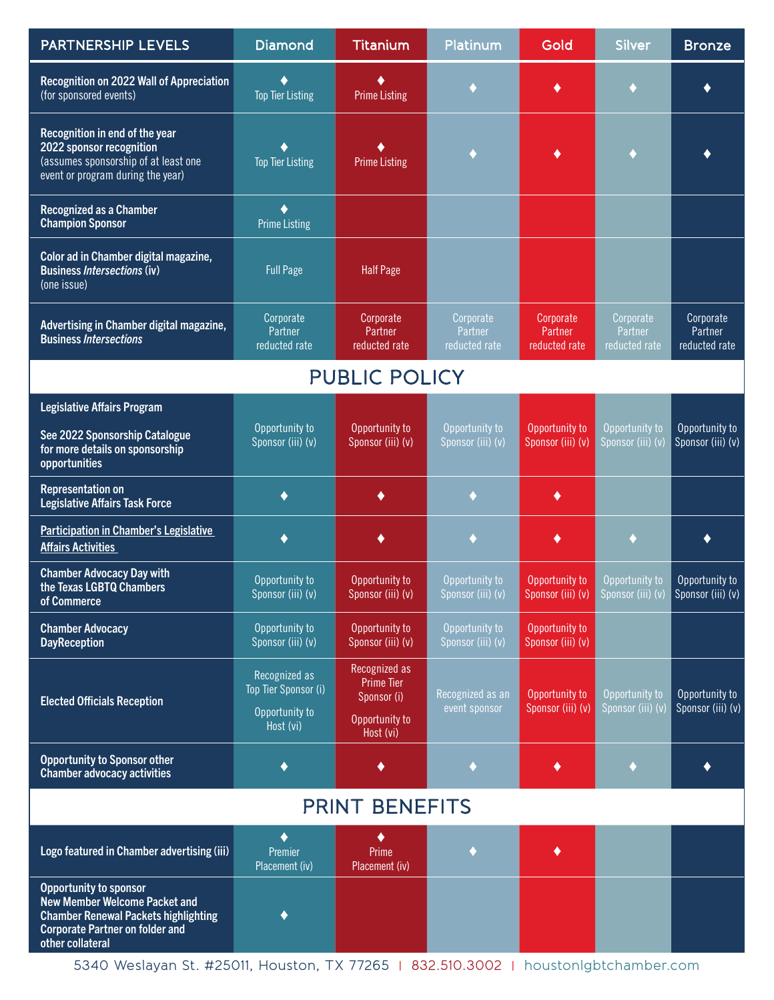| PARTNERSHIP LEVELS                                                                                                                                                                 | <b>Diamond</b>                                                       | <b>Titanium</b>                                                           | Platinum                              | Gold                                  | <b>Silver</b>                         | <b>Bronze</b>                         |  |
|------------------------------------------------------------------------------------------------------------------------------------------------------------------------------------|----------------------------------------------------------------------|---------------------------------------------------------------------------|---------------------------------------|---------------------------------------|---------------------------------------|---------------------------------------|--|
| Recognition on 2022 Wall of Appreciation<br>(for sponsored events)                                                                                                                 | ٠<br><b>Top Tier Listing</b>                                         | <b>Prime Listing</b>                                                      |                                       |                                       |                                       |                                       |  |
| Recognition in end of the year<br>2022 sponsor recognition<br>(assumes sponsorship of at least one<br>event or program during the year)                                            | ٠<br><b>Top Tier Listing</b>                                         | <b>Prime Listing</b>                                                      |                                       |                                       |                                       |                                       |  |
| <b>Recognized as a Chamber</b><br><b>Champion Sponsor</b>                                                                                                                          | ٠<br><b>Prime Listing</b>                                            |                                                                           |                                       |                                       |                                       |                                       |  |
| Color ad in Chamber digital magazine,<br><b>Business Intersections (iv)</b><br>(one issue)                                                                                         | <b>Full Page</b>                                                     | <b>Half Page</b>                                                          |                                       |                                       |                                       |                                       |  |
| Advertising in Chamber digital magazine,<br><b>Business Intersections</b>                                                                                                          | Corporate<br>Partner<br>reducted rate                                | Corporate<br>Partner<br>reducted rate                                     | Corporate<br>Partner<br>reducted rate | Corporate<br>Partner<br>reducted rate | Corporate<br>Partner<br>reducted rate | Corporate<br>Partner<br>reducted rate |  |
|                                                                                                                                                                                    |                                                                      | <b>PUBLIC POLICY</b>                                                      |                                       |                                       |                                       |                                       |  |
| <b>Legislative Affairs Program</b>                                                                                                                                                 |                                                                      |                                                                           |                                       |                                       |                                       |                                       |  |
| See 2022 Sponsorship Catalogue<br>for more details on sponsorship<br>opportunities                                                                                                 | Opportunity to<br>Sponsor (iii) (v)                                  | Opportunity to<br>Sponsor (iii) (v)                                       | Opportunity to<br>Sponsor (iii) (v)   | Opportunity to<br>Sponsor (iii) (v)   | Opportunity to<br>Sponsor (iii) (v)   | Opportunity to<br>Sponsor (iii) (v)   |  |
| <b>Representation on</b><br><b>Legislative Affairs Task Force</b>                                                                                                                  | ٠                                                                    | ٠                                                                         |                                       | ٠                                     |                                       |                                       |  |
| <b>Participation in Chamber's Legislative</b><br><b>Affairs Activities</b>                                                                                                         | $\blacklozenge$                                                      | ٠                                                                         |                                       | ٠                                     |                                       |                                       |  |
| <b>Chamber Advocacy Day with</b><br>the Texas LGBTQ Chambers<br>of Commerce                                                                                                        | Opportunity to<br>Sponsor (iii) (v)                                  | Opportunity to<br>Sponsor (iii) (v)                                       | Opportunity to<br>Sponsor (iii) (v)   | Opportunity to<br>Sponsor (iii) (v)   | Opportunity to<br>Sponsor (iii) (v)   | Opportunity to<br>Sponsor (iii) (v)   |  |
| <b>Chamber Advocacy</b><br><b>DayReception</b>                                                                                                                                     | Opportunity to<br>Sponsor (iii) (v)                                  | Opportunity to<br>Sponsor (iii) (v)                                       | Opportunity to<br>Sponsor (iii) (v)   | Opportunity to<br>Sponsor (iii) (v)   |                                       |                                       |  |
| <b>Elected Officials Reception</b>                                                                                                                                                 | Recognized as<br>Top Tier Sponsor (i)<br>Opportunity to<br>Host (vi) | Recognized as<br>Prime Tier<br>Sponsor (i)<br>Opportunity to<br>Host (vi) | Recognized as an<br>event sponsor     | Opportunity to<br>Sponsor (iii) (v)   | Opportunity to<br>Sponsor (iii) (v)   | Opportunity to<br>Sponsor (iii) (v)   |  |
| <b>Opportunity to Sponsor other</b><br><b>Chamber advocacy activities</b>                                                                                                          | ♦                                                                    |                                                                           |                                       |                                       |                                       |                                       |  |
| <b>PRINT BENEFITS</b>                                                                                                                                                              |                                                                      |                                                                           |                                       |                                       |                                       |                                       |  |
| Logo featured in Chamber advertising (iii)                                                                                                                                         | $\blacklozenge$<br>Premier<br>Placement (iv)                         | Prime<br>Placement (iv)                                                   | ۰                                     |                                       |                                       |                                       |  |
| <b>Opportunity to sponsor</b><br><b>New Member Welcome Packet and</b><br><b>Chamber Renewal Packets highlighting</b><br><b>Corporate Partner on folder and</b><br>other collateral | ٠                                                                    |                                                                           |                                       |                                       |                                       |                                       |  |